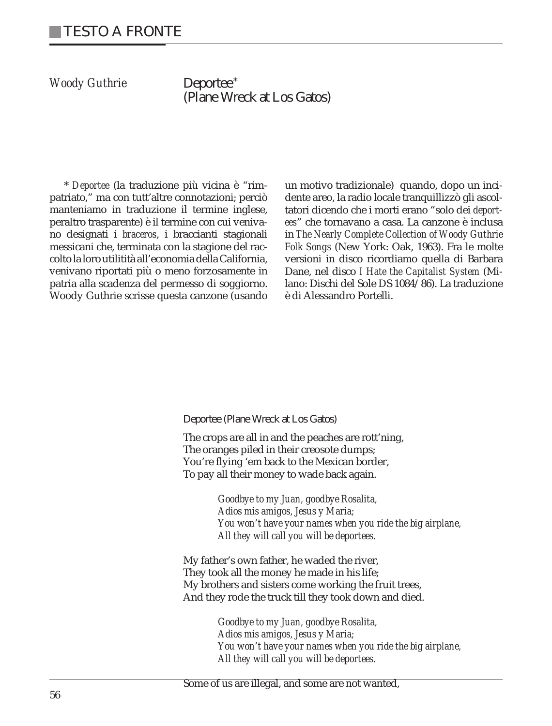*Woody Guthrie* **Deportee \***

**(Plane Wreck at Los Gatos)**

\* *Deportee* (la traduzione più vicina è "rimpatriato," ma con tutt'altre connotazioni; perciò manteniamo in traduzione il termine inglese, peraltro trasparente) è il termine con cui venivano designati i *braceros*, i braccianti stagionali messicani che, terminata con la stagione del raccolto la loro utilitità all'economia della California, venivano riportati più o meno forzosamente in patria alla scadenza del permesso di soggiorno. Woody Guthrie scrisse questa canzone (usando

un motivo tradizionale) quando, dopo un incidente areo, la radio locale tranquillizzò gli ascoltatori dicendo che i morti erano "solo dei *deportees*" che tornavano a casa. La canzone è inclusa in *The Nearly Complete Collection of Woody Guthrie Folk Songs* (New York: Oak, 1963). Fra le molte versioni in disco ricordiamo quella di Barbara Dane, nel disco *I Hate the Capitalist System* (Milano: Dischi del Sole DS 1084/86). La traduzione è di Alessandro Portelli.

**Deportee (Plane Wreck at Los Gatos)**

The crops are all in and the peaches are rott'ning, The oranges piled in their creosote dumps; You're flying 'em back to the Mexican border, To pay all their money to wade back again.

> *Goodbye to my Juan, goodbye Rosalita, Adios mis amigos, Jesus y Maria; You won't have your names when you ride the big airplane, All they will call you will be deportees.*

My father's own father, he waded the river, They took all the money he made in his life; My brothers and sisters come working the fruit trees, And they rode the truck till they took down and died.

> *Goodbye to my Juan, goodbye Rosalita, Adios mis amigos, Jesus y Maria; You won't have your names when you ride the big airplane, All they will call you will be deportees.*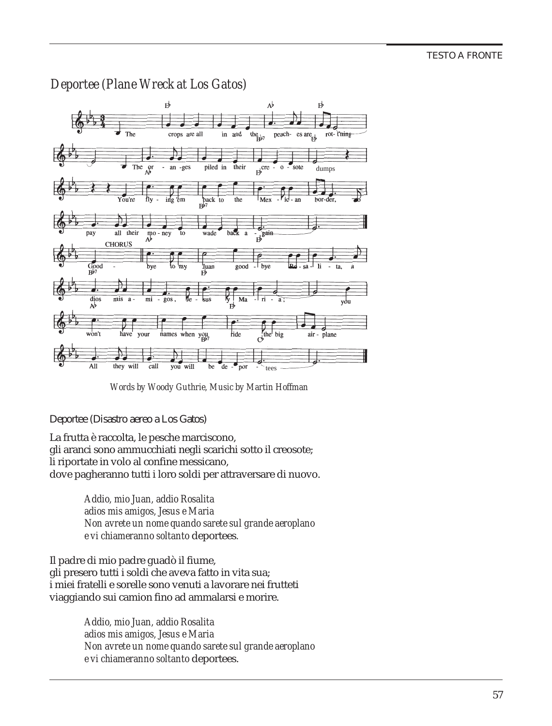## **TESTO A FRONTE**

## *Deportee (Plane Wreck at Los Gatos)*



*Words by Woody Guthrie, Music by Martin Hoffman*

**Deportee (Disastro aereo a Los Gatos)**

La frutta è raccolta, le pesche marciscono, gli aranci sono ammucchiati negli scarichi sotto il creosote; li riportate in volo al confine messicano, dove pagheranno tutti i loro soldi per attraversare di nuovo.

> *Addio, mio Juan, addio Rosalita adios mis amigos, Jesus e Maria Non avrete un nome quando sarete sul grande aeroplano e vi chiameranno soltanto* deportees*.*

Il padre di mio padre guadò il fiume, gli presero tutti i soldi che aveva fatto in vita sua; i miei fratelli e sorelle sono venuti a lavorare nei frutteti viaggiando sui camion fino ad ammalarsi e morire.

> *Addio, mio Juan, addio Rosalita adios mis amigos, Jesus e Maria Non avrete un nome quando sarete sul grande aeroplano e vi chiameranno soltanto* deportees.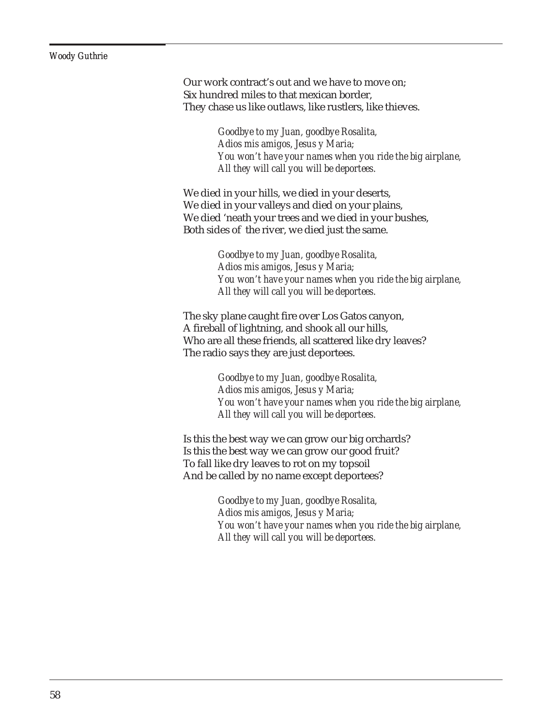## *Woody Guthrie*

Our work contract's out and we have to move on; Six hundred miles to that mexican border, They chase us like outlaws, like rustlers, like thieves.

> *Goodbye to my Juan, goodbye Rosalita, Adios mis amigos, Jesus y Maria; You won't have your names when you ride the big airplane, All they will call you will be deportees.*

We died in your hills, we died in your deserts, We died in your valleys and died on your plains, We died 'neath your trees and we died in your bushes, Both sides of the river, we died just the same.

> *Goodbye to my Juan, goodbye Rosalita, Adios mis amigos, Jesus y Maria; You won't have your names when you ride the big airplane, All they will call you will be deportees.*

The sky plane caught fire over Los Gatos canyon, A fireball of lightning, and shook all our hills, Who are all these friends, all scattered like dry leaves? The radio says they are just deportees.

> *Goodbye to my Juan, goodbye Rosalita, Adios mis amigos, Jesus y Maria; You won't have your names when you ride the big airplane, All they will call you will be deportees.*

Is this the best way we can grow our big orchards? Is this the best way we can grow our good fruit? To fall like dry leaves to rot on my topsoil And be called by no name except deportees?

> *Goodbye to my Juan, goodbye Rosalita, Adios mis amigos, Jesus y Maria; You won't have your names when you ride the big airplane, All they will call you will be deportees.*